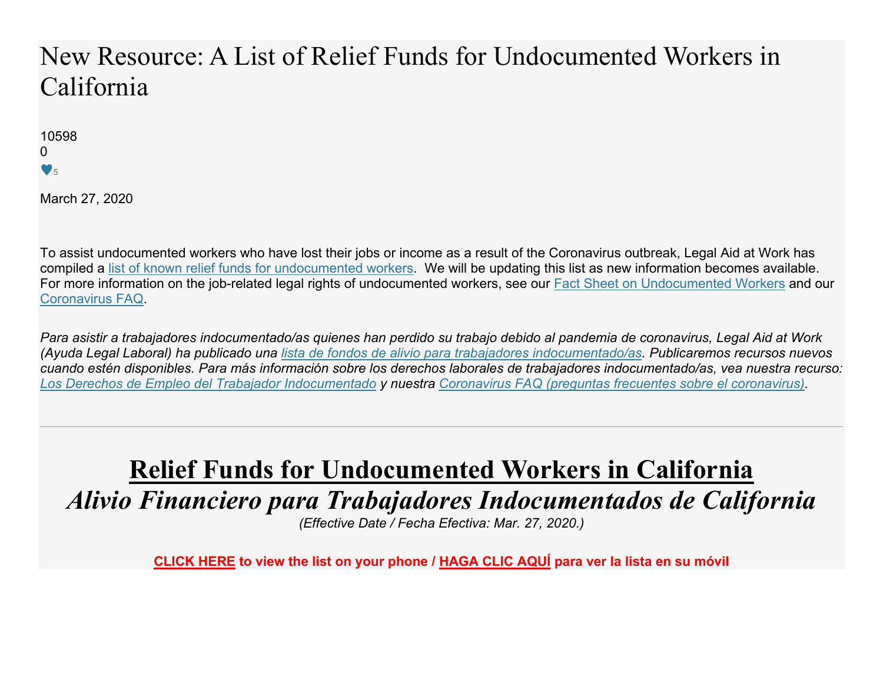## New Resource: A List of Relief Funds for Undocumented Workers in [Ca](http://twitter.com/intent/tweet?text=New%20Resource:%20A%20List%20of%20Relief%20Funds%20for%20Undocumented%20Workers%20in%20California%20-%20https://legalaidatwork.org/blog/relief-funds/)[lif](https://www.linkedin.com/shareArticle?mini=true&url=https://legalaidatwork.org/blog/relief-funds/&title=New%20Resource:%20A%20List%20of%20Relief%20Funds%20for%20Undocumented%20Workers%20in%20California&source=Legal%20Aid%20at%20Work)[orn](https://www.facebook.com/sharer/sharer.php?u=https://legalaidatwork.org/blog/relief-funds/)ia

10598  $\Omega$  $\Psi_{5}$ 

March 27, 2020

To assist undocumented workers who have lost their jobs or income as a result of the Coronavirus outbreak, Legal Aid at Work has compiled a [list of known relief funds for undocumented workers.](https://bit.ly/2w0WK1y) We will be updating this list as new information becomes available. For more information on the job-related legal rights of undocumented workers, see our [Fact Sheet on Undocumented Workers](https://legalaidatwork.org/factsheet/undocumented-workers-employment-rights/) and our [Coronavirus FAQ.](https://legalaidatwork.org/factsheet/coronavirus-faq/)

*Para asistir a trabajadores indocumentado/as quienes han perdido su trabajo debido al pandemia de coronavirus, Legal Aid at Work (Ayuda Legal Laboral) ha publicado una [lista de fondos de alivio para trabajadores indocumentado/as.](https://bit.ly/2w0WK1y) Publicaremos recursos nuevos cuando estén disponibles. Para más información sobre los derechos laborales de trabajadores indocumentado/as, vea nuestra recurso: [Los Derechos de Empleo del Trabajador Indocumentado](https://legalaidatwork.org/factsheet/undocumented-workers-employment-rights/) y nuestra [Coronavirus FAQ \(preguntas frecuentes sobre el coronavirus\).](https://legalaidatwork.org/factsheet/coronavirus-preguntas-frecuentes/?lang=es)*

## **Relief Funds for Undocumented Workers in California** *Alivio Financiero para Trabajadores Indocumentados de California*

*(Effective Date / Fecha Efectiva: Mar. 27, 2020.)*

**[CLICK HERE](https://bit.ly/2w0WK1y) to view the list on your phone / [HAGA CLIC AQUÍ](https://bit.ly/2w0WK1y) para ver la lista en su móvil**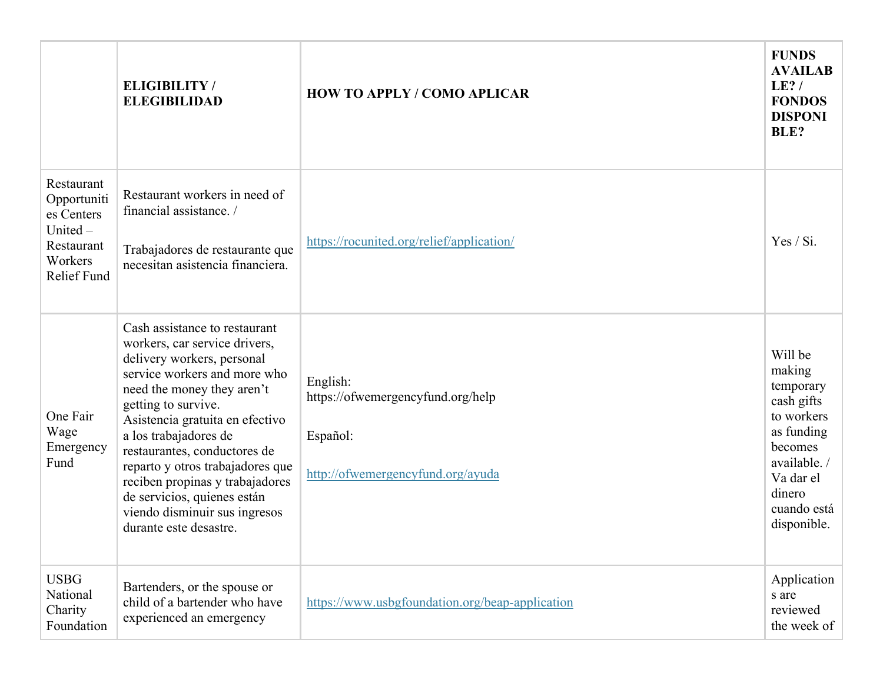|                                                                                            | <b>ELIGIBILITY/</b><br><b>ELEGIBILIDAD</b>                                                                                                                                                                                                                                                                                                                                                                                                     | <b>HOW TO APPLY / COMO APLICAR</b>                                                             | <b>FUNDS</b><br><b>AVAILAB</b><br>$LE$ ?/<br><b>FONDOS</b><br><b>DISPONI</b><br>BLE?                                                                    |
|--------------------------------------------------------------------------------------------|------------------------------------------------------------------------------------------------------------------------------------------------------------------------------------------------------------------------------------------------------------------------------------------------------------------------------------------------------------------------------------------------------------------------------------------------|------------------------------------------------------------------------------------------------|---------------------------------------------------------------------------------------------------------------------------------------------------------|
| Restaurant<br>Opportuniti<br>es Centers<br>United-<br>Restaurant<br>Workers<br>Relief Fund | Restaurant workers in need of<br>financial assistance. /<br>Trabajadores de restaurante que<br>necesitan asistencia financiera.                                                                                                                                                                                                                                                                                                                | https://rocunited.org/relief/application/                                                      | Yes / Si.                                                                                                                                               |
| One Fair<br>Wage<br>Emergency<br>Fund                                                      | Cash assistance to restaurant<br>workers, car service drivers,<br>delivery workers, personal<br>service workers and more who<br>need the money they aren't<br>getting to survive.<br>Asistencia gratuita en efectivo<br>a los trabajadores de<br>restaurantes, conductores de<br>reparto y otros trabajadores que<br>reciben propinas y trabajadores<br>de servicios, quienes están<br>viendo disminuir sus ingresos<br>durante este desastre. | English:<br>https://ofwemergencyfund.org/help<br>Español:<br>http://ofwemergencyfund.org/ayuda | Will be<br>making<br>temporary<br>cash gifts<br>to workers<br>as funding<br>becomes<br>available./<br>Va dar el<br>dinero<br>cuando está<br>disponible. |
| <b>USBG</b><br>National<br>Charity<br>Foundation                                           | Bartenders, or the spouse or<br>child of a bartender who have<br>experienced an emergency                                                                                                                                                                                                                                                                                                                                                      | https://www.usbgfoundation.org/beap-application                                                | Application<br>s are<br>reviewed<br>the week of                                                                                                         |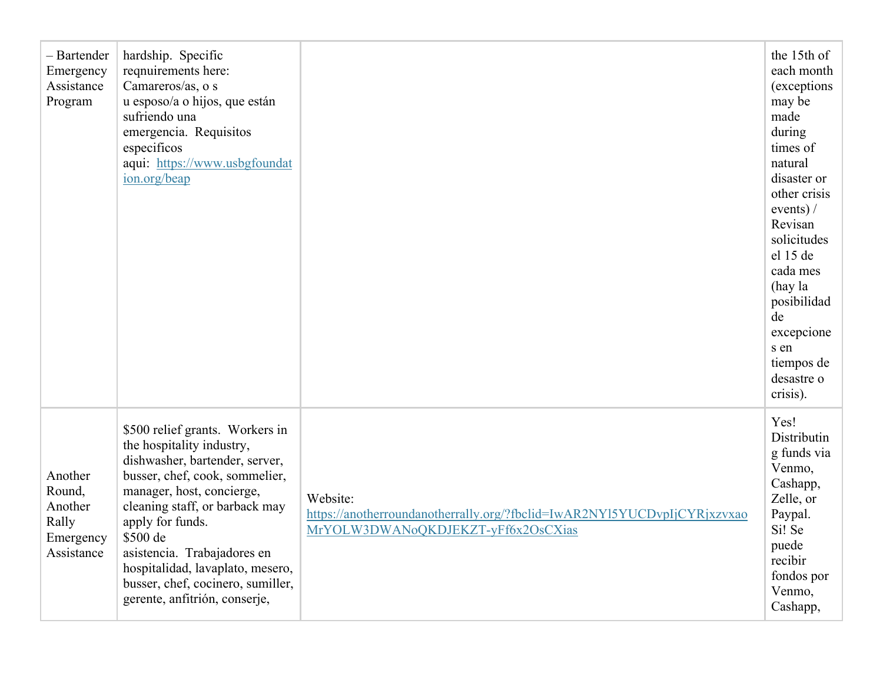| - Bartender<br>Emergency<br>Assistance<br>Program                | hardship. Specific<br>reqnuirements here:<br>Camareros/as, o s<br>u esposo/a o hijos, que están<br>sufriendo una<br>emergencia. Requisitos<br>especificos<br>aqui: https://www.usbgfoundat<br>ion.org/beap                                                                                                                                                               |                                                                                                                            | the 15th of<br>each month<br><i>(exceptions)</i><br>may be<br>made<br>during<br>times of<br>natural<br>disaster or<br>other crisis<br>events) $/$<br>Revisan<br>solicitudes<br>el 15 de<br>cada mes<br>(hay la<br>posibilidad<br>de<br>excepcione<br>s en<br>tiempos de<br>desastre o<br>crisis). |
|------------------------------------------------------------------|--------------------------------------------------------------------------------------------------------------------------------------------------------------------------------------------------------------------------------------------------------------------------------------------------------------------------------------------------------------------------|----------------------------------------------------------------------------------------------------------------------------|---------------------------------------------------------------------------------------------------------------------------------------------------------------------------------------------------------------------------------------------------------------------------------------------------|
| Another<br>Round,<br>Another<br>Rally<br>Emergency<br>Assistance | \$500 relief grants. Workers in<br>the hospitality industry,<br>dishwasher, bartender, server,<br>busser, chef, cook, sommelier,<br>manager, host, concierge,<br>cleaning staff, or barback may<br>apply for funds.<br>\$500 de<br>asistencia. Trabajadores en<br>hospitalidad, lavaplato, mesero,<br>busser, chef, cocinero, sumiller,<br>gerente, anfitrión, conserje, | Website:<br>https://anotherroundanotherrally.org/?fbclid=IwAR2NY15YUCDvpIjCYRjxzvxao<br>MrYOLW3DWANoQKDJEKZT-yFf6x2OsCXias | Yes!<br>Distributin<br>g funds via<br>Venmo,<br>Cashapp,<br>Zelle, or<br>Paypal.<br>Si! Se<br>puede<br>recibir<br>fondos por<br>Venmo,<br>Cashapp,                                                                                                                                                |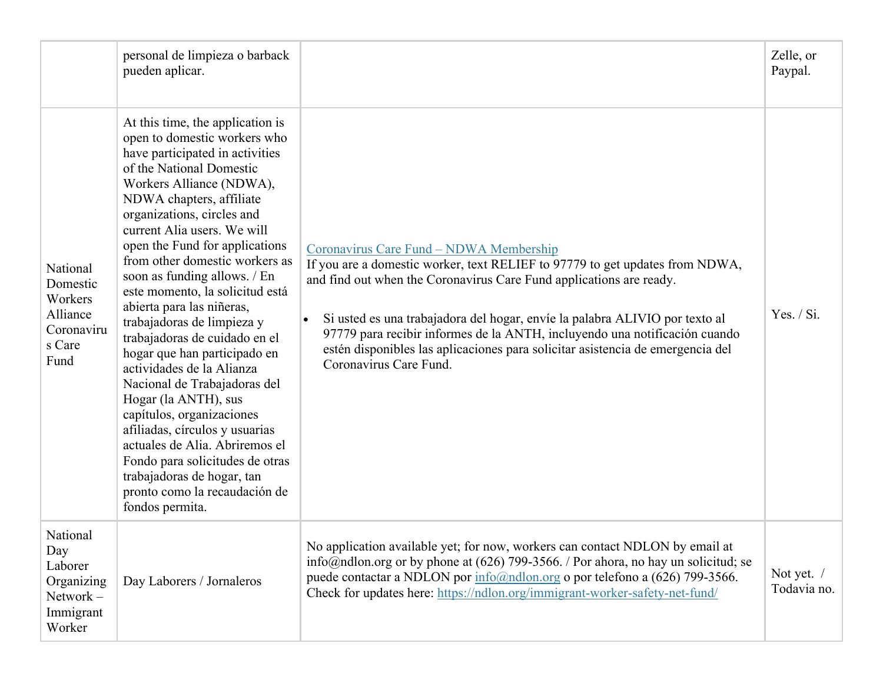|                                                                             | personal de limpieza o barback<br>pueden aplicar.                                                                                                                                                                                                                                                                                                                                                                                                                                                                                                                                                                                                                                                                                                                                                                                  |                                                                                                                                                                                                                                                                                                                                                                                                                                                                         | Zelle, or<br>Paypal.      |
|-----------------------------------------------------------------------------|------------------------------------------------------------------------------------------------------------------------------------------------------------------------------------------------------------------------------------------------------------------------------------------------------------------------------------------------------------------------------------------------------------------------------------------------------------------------------------------------------------------------------------------------------------------------------------------------------------------------------------------------------------------------------------------------------------------------------------------------------------------------------------------------------------------------------------|-------------------------------------------------------------------------------------------------------------------------------------------------------------------------------------------------------------------------------------------------------------------------------------------------------------------------------------------------------------------------------------------------------------------------------------------------------------------------|---------------------------|
| National<br>Domestic<br>Workers<br>Alliance<br>Coronaviru<br>s Care<br>Fund | At this time, the application is<br>open to domestic workers who<br>have participated in activities<br>of the National Domestic<br>Workers Alliance (NDWA),<br>NDWA chapters, affiliate<br>organizations, circles and<br>current Alia users. We will<br>open the Fund for applications<br>from other domestic workers as<br>soon as funding allows. / En<br>este momento, la solicitud está<br>abierta para las niñeras,<br>trabajadoras de limpieza y<br>trabajadoras de cuidado en el<br>hogar que han participado en<br>actividades de la Alianza<br>Nacional de Trabajadoras del<br>Hogar (la ANTH), sus<br>capítulos, organizaciones<br>afiliadas, círculos y usuarias<br>actuales de Alia. Abriremos el<br>Fondo para solicitudes de otras<br>trabajadoras de hogar, tan<br>pronto como la recaudación de<br>fondos permita. | Coronavirus Care Fund - NDWA Membership<br>If you are a domestic worker, text RELIEF to 97779 to get updates from NDWA,<br>and find out when the Coronavirus Care Fund applications are ready.<br>Si usted es una trabajadora del hogar, envíe la palabra ALIVIO por texto al<br>97779 para recibir informes de la ANTH, incluyendo una notificación cuando<br>estén disponibles las aplicaciones para solicitar asistencia de emergencia del<br>Coronavirus Care Fund. | Yes. / Si.                |
| National<br>Day<br>Laborer<br>Organizing<br>Network-<br>Immigrant<br>Worker | Day Laborers / Jornaleros                                                                                                                                                                                                                                                                                                                                                                                                                                                                                                                                                                                                                                                                                                                                                                                                          | No application available yet; for now, workers can contact NDLON by email at<br>info@ndlon.org or by phone at $(626)$ 799-3566. / Por ahora, no hay un solicitud; se<br>puede contactar a NDLON por info@ndlon.org o por telefono a (626) 799-3566.<br>Check for updates here: https://ndlon.org/immigrant-worker-safety-net-fund/                                                                                                                                      | Not yet. /<br>Todavia no. |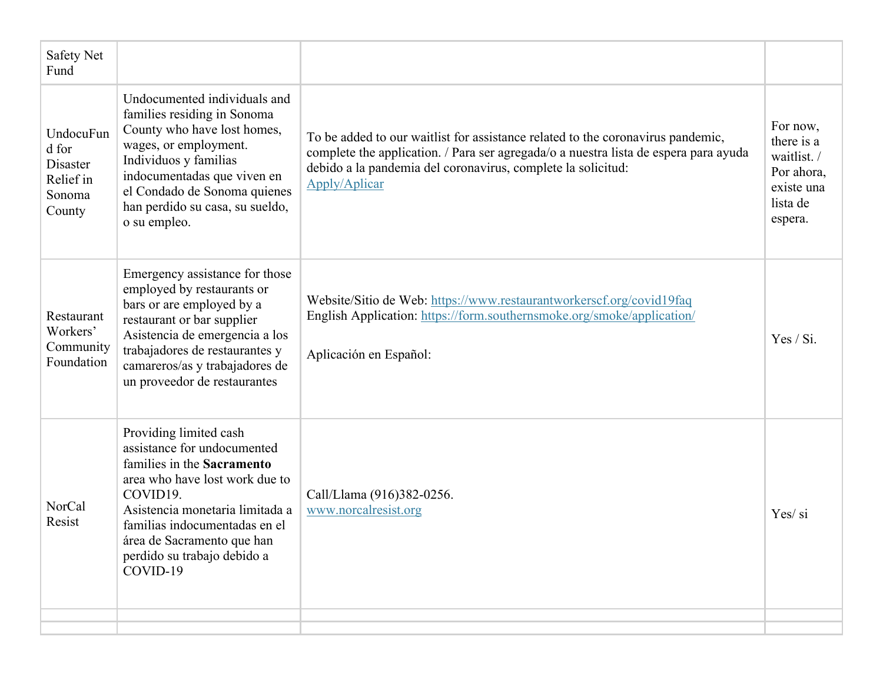| Safety Net<br>Fund                                              |                                                                                                                                                                                                                                                                                |                                                                                                                                                                                                                                                          |                                                                                          |
|-----------------------------------------------------------------|--------------------------------------------------------------------------------------------------------------------------------------------------------------------------------------------------------------------------------------------------------------------------------|----------------------------------------------------------------------------------------------------------------------------------------------------------------------------------------------------------------------------------------------------------|------------------------------------------------------------------------------------------|
| UndocuFun<br>d for<br>Disaster<br>Relief in<br>Sonoma<br>County | Undocumented individuals and<br>families residing in Sonoma<br>County who have lost homes,<br>wages, or employment.<br>Individuos y familias<br>indocumentadas que viven en<br>el Condado de Sonoma quienes<br>han perdido su casa, su sueldo,<br>o su empleo.                 | To be added to our waitlist for assistance related to the coronavirus pandemic,<br>complete the application. / Para ser agregada/o a nuestra lista de espera para ayuda<br>debido a la pandemia del coronavirus, complete la solicitud:<br>Apply/Aplicar | For now,<br>there is a<br>waitlist. /<br>Por ahora,<br>existe una<br>lista de<br>espera. |
| Restaurant<br>Workers'<br>Community<br>Foundation               | Emergency assistance for those<br>employed by restaurants or<br>bars or are employed by a<br>restaurant or bar supplier<br>Asistencia de emergencia a los<br>trabajadores de restaurantes y<br>camareros/as y trabajadores de<br>un proveedor de restaurantes                  | Website/Sitio de Web: https://www.restaurantworkerscf.org/covid19faq<br>English Application: https://form.southernsmoke.org/smoke/application/<br>Aplicación en Español:                                                                                 | Yes / Si.                                                                                |
| NorCal<br>Resist                                                | Providing limited cash<br>assistance for undocumented<br>families in the Sacramento<br>area who have lost work due to<br>COVID19.<br>Asistencia monetaria limitada a<br>familias indocumentadas en el<br>área de Sacramento que han<br>perdido su trabajo debido a<br>COVID-19 | Call/Llama (916)382-0256.<br>www.norcalresist.org                                                                                                                                                                                                        | Yes/ si                                                                                  |
|                                                                 |                                                                                                                                                                                                                                                                                |                                                                                                                                                                                                                                                          |                                                                                          |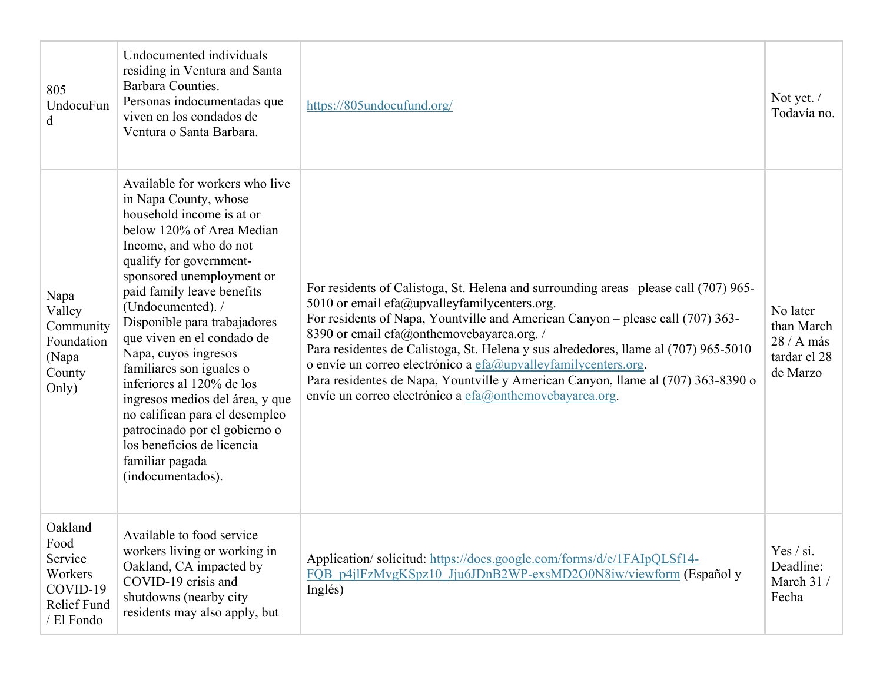| 805<br>UndocuFun<br>d                                                          | Undocumented individuals<br>residing in Ventura and Santa<br>Barbara Counties.<br>Personas indocumentadas que<br>viven en los condados de<br>Ventura o Santa Barbara.                                                                                                                                                                                                                                                                                                                                                                                                             | https://805undocufund.org/                                                                                                                                                                                                                                                                                                                                                                                                                                                                                                                                                 | Not yet. /<br>Todavía no.                                        |
|--------------------------------------------------------------------------------|-----------------------------------------------------------------------------------------------------------------------------------------------------------------------------------------------------------------------------------------------------------------------------------------------------------------------------------------------------------------------------------------------------------------------------------------------------------------------------------------------------------------------------------------------------------------------------------|----------------------------------------------------------------------------------------------------------------------------------------------------------------------------------------------------------------------------------------------------------------------------------------------------------------------------------------------------------------------------------------------------------------------------------------------------------------------------------------------------------------------------------------------------------------------------|------------------------------------------------------------------|
| Napa<br>Valley<br>Community<br>Foundation<br>(Napa<br>County<br>Only)          | Available for workers who live<br>in Napa County, whose<br>household income is at or<br>below 120% of Area Median<br>Income, and who do not<br>qualify for government-<br>sponsored unemployment or<br>paid family leave benefits<br>(Undocumented). /<br>Disponible para trabajadores<br>que viven en el condado de<br>Napa, cuyos ingresos<br>familiares son iguales o<br>inferiores al 120% de los<br>ingresos medios del área, y que<br>no califican para el desempleo<br>patrocinado por el gobierno o<br>los beneficios de licencia<br>familiar pagada<br>(indocumentados). | For residents of Calistoga, St. Helena and surrounding areas-please call (707) 965-<br>5010 or email efa@upvalleyfamilycenters.org.<br>For residents of Napa, Yountville and American Canyon - please call (707) 363-<br>8390 or email efa@onthemovebayarea.org. /<br>Para residentes de Calistoga, St. Helena y sus alrededores, llame al (707) 965-5010<br>o envíe un correo electrónico a efa@upvalleyfamilycenters.org.<br>Para residentes de Napa, Yountville y American Canyon, llame al (707) 363-8390 o<br>envíe un correo electrónico a efa@onthemovebayarea.org. | No later<br>than March<br>28 / A más<br>tardar el 28<br>de Marzo |
| Oakland<br>Food<br>Service<br>Workers<br>COVID-19<br>Relief Fund<br>/ El Fondo | Available to food service<br>workers living or working in<br>Oakland, CA impacted by<br>COVID-19 crisis and<br>shutdowns (nearby city<br>residents may also apply, but                                                                                                                                                                                                                                                                                                                                                                                                            | Application/ solicitud: https://docs.google.com/forms/d/e/1FAIpQLSf14-<br>FQB p4jlFzMvgKSpz10 Jju6JDnB2WP-exsMD2O0N8iw/viewform (Español y<br>Inglés)                                                                                                                                                                                                                                                                                                                                                                                                                      | Yes / si.<br>Deadline:<br>March 31/<br>Fecha                     |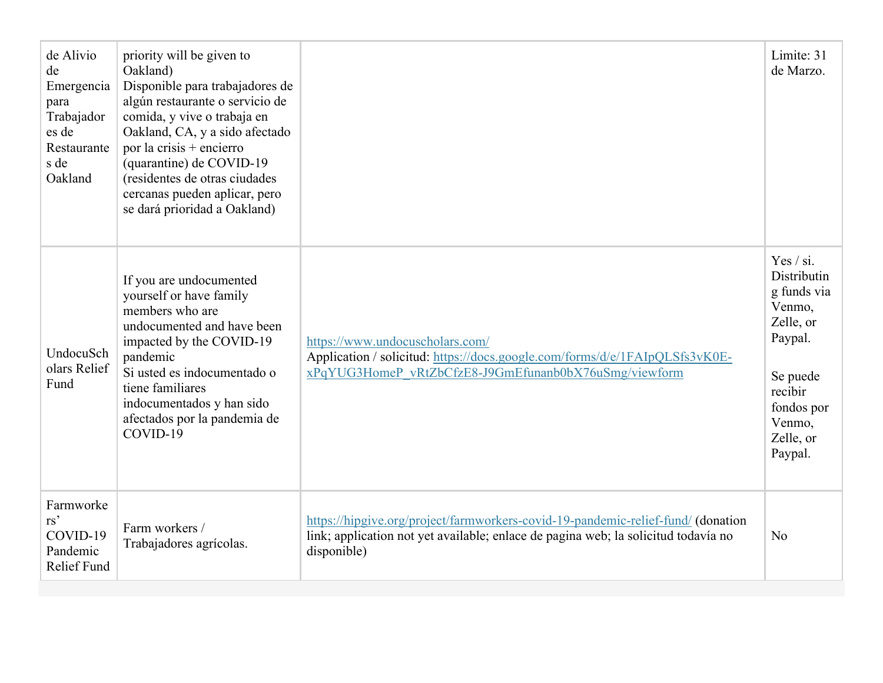| de Alivio<br>de<br>Emergencia<br>para<br>Trabajador<br>es de<br>Restaurante<br>s de<br>Oakland | priority will be given to<br>Oakland)<br>Disponible para trabajadores de<br>algún restaurante o servicio de<br>comida, y vive o trabaja en<br>Oakland, CA, y a sido afectado<br>por la crisis + encierro<br>(quarantine) de COVID-19<br>(residentes de otras ciudades<br>cercanas pueden aplicar, pero<br>se dará prioridad a Oakland) |                                                                                                                                                                                       | Limite: 31<br>de Marzo.                                                                                                                          |
|------------------------------------------------------------------------------------------------|----------------------------------------------------------------------------------------------------------------------------------------------------------------------------------------------------------------------------------------------------------------------------------------------------------------------------------------|---------------------------------------------------------------------------------------------------------------------------------------------------------------------------------------|--------------------------------------------------------------------------------------------------------------------------------------------------|
| UndocuSch<br>olars Relief<br>Fund                                                              | If you are undocumented<br>yourself or have family<br>members who are<br>undocumented and have been<br>impacted by the COVID-19<br>pandemic<br>Si usted es indocumentado o<br>tiene familiares<br>indocumentados y han sido<br>afectados por la pandemia de<br>COVID-19                                                                | https://www.undocuscholars.com/<br>Application / solicitud: https://docs.google.com/forms/d/e/1FAIpQLSfs3vK0E-<br>xPqYUG3HomeP vRtZbCfzE8-J9GmEfunanb0bX76uSmg/viewform               | Yes / si.<br>Distributin<br>g funds via<br>Venmo,<br>Zelle, or<br>Paypal.<br>Se puede<br>recibir<br>fondos por<br>Venmo,<br>Zelle, or<br>Paypal. |
| Farmworke<br>rs'<br>COVID-19<br>Pandemic<br>Relief Fund                                        | Farm workers /<br>Trabajadores agrícolas.                                                                                                                                                                                                                                                                                              | https://hipgive.org/project/farmworkers-covid-19-pandemic-relief-fund/ (donation<br>link; application not yet available; enlace de pagina web; la solicitud todavía no<br>disponible) | No                                                                                                                                               |